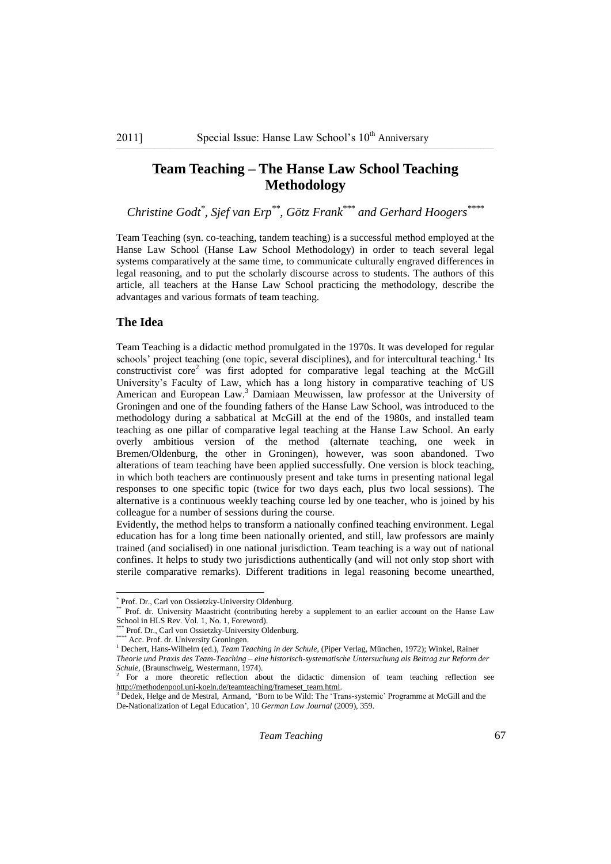# **Team Teaching – The Hanse Law School Teaching Methodology**

*Christine Godt\* , Sjef van Erp\*\*, Götz Frank\*\*\* and Gerhard Hoogers\*\*\*\**

Team Teaching (syn. co-teaching, tandem teaching) is a successful method employed at the Hanse Law School (Hanse Law School Methodology) in order to teach several legal systems comparatively at the same time, to communicate culturally engraved differences in legal reasoning, and to put the scholarly discourse across to students. The authors of this article, all teachers at the Hanse Law School practicing the methodology, describe the advantages and various formats of team teaching.

### **The Idea**

Team Teaching is a didactic method promulgated in the 1970s. It was developed for regular schools' project teaching (one topic, several disciplines), and for intercultural teaching.<sup>1</sup> Its constructivist core<sup>2</sup> was first adopted for comparative legal teaching at the McGill University"s Faculty of Law, which has a long history in comparative teaching of US American and European Law.<sup>3</sup> Damiaan Meuwissen, law professor at the University of Groningen and one of the founding fathers of the Hanse Law School, was introduced to the methodology during a sabbatical at McGill at the end of the 1980s, and installed team teaching as one pillar of comparative legal teaching at the Hanse Law School. An early overly ambitious version of the method (alternate teaching, one week in Bremen/Oldenburg, the other in Groningen), however, was soon abandoned. Two alterations of team teaching have been applied successfully. One version is block teaching, in which both teachers are continuously present and take turns in presenting national legal responses to one specific topic (twice for two days each, plus two local sessions). The alternative is a continuous weekly teaching course led by one teacher, who is joined by his colleague for a number of sessions during the course.

Evidently, the method helps to transform a nationally confined teaching environment. Legal education has for a long time been nationally oriented, and still, law professors are mainly trained (and socialised) in one national jurisdiction. Team teaching is a way out of national confines. It helps to study two jurisdictions authentically (and will not only stop short with sterile comparative remarks). Different traditions in legal reasoning become unearthed,

 \* Prof. Dr., Carl von Ossietzky-University Oldenburg.

<sup>\*\*</sup> Prof. dr. University Maastricht (contributing hereby a supplement to an earlier account on the Hanse Law School in HLS Rev. Vol. 1, No. 1, Foreword).

<sup>\*\*\*</sup> Prof. Dr., Carl von Ossietzky-University Oldenburg.

Acc. Prof. dr. University Groningen.

<sup>1</sup> Dechert, Hans-Wilhelm (ed.), *Team Teaching in der Schule*, (Piper Verlag, München, 1972); Winkel, Rainer *Theorie und Praxis des Team-Teaching – eine historisch-systematische Untersuchung als Beitrag zur Reform der* 

*Schule*, (Braunschweig, Westermann, 1974).

<sup>&</sup>lt;sup>2</sup> For a more theoretic reflection about the didactic dimension of team teaching reflection see [http://methodenpool.uni-koeln.de/teamteaching/frameset\\_team.html.](http://methodenpool.uni-koeln.de/teamteaching/frameset_team.html) 

<sup>&</sup>lt;sup>3</sup> Dedek, Helge and de Mestral, Armand, 'Born to be Wild: The 'Trans-systemic' Programme at McGill and the De-Nationalization of Legal Education", 10 *German Law Journal* (2009), 359.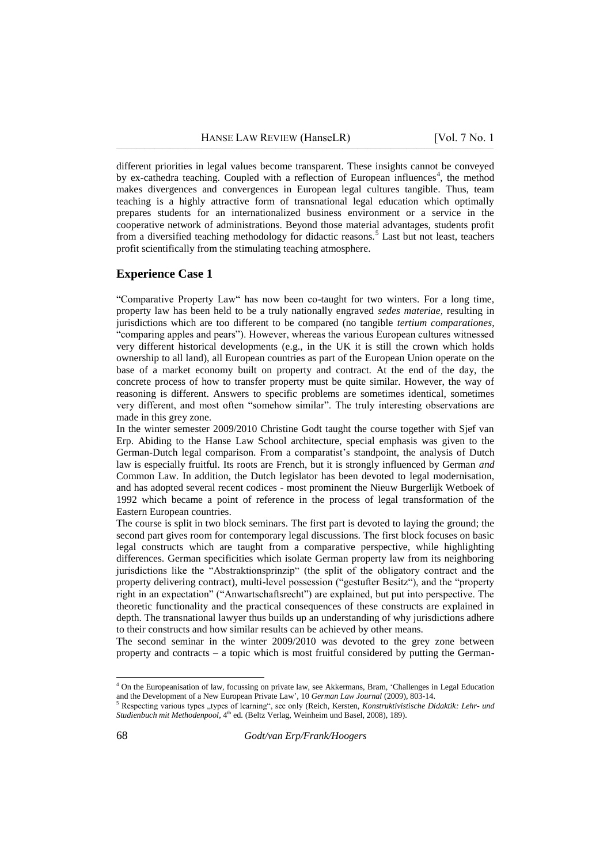different priorities in legal values become transparent. These insights cannot be conveyed by ex-cathedra teaching. Coupled with a reflection of European influences<sup>4</sup>, the method makes divergences and convergences in European legal cultures tangible. Thus, team teaching is a highly attractive form of transnational legal education which optimally prepares students for an internationalized business environment or a service in the cooperative network of administrations. Beyond those material advantages, students profit from a diversified teaching methodology for didactic reasons.<sup>5</sup> Last but not least, teachers profit scientifically from the stimulating teaching atmosphere.

#### **Experience Case 1**

"Comparative Property Law" has now been co-taught for two winters. For a long time, property law has been held to be a truly nationally engraved *sedes materiae,* resulting in jurisdictions which are too different to be compared (no tangible *tertium comparationes*, "comparing apples and pears"). However, whereas the various European cultures witnessed very different historical developments (e.g., in the UK it is still the crown which holds ownership to all land), all European countries as part of the European Union operate on the base of a market economy built on property and contract. At the end of the day, the concrete process of how to transfer property must be quite similar. However, the way of reasoning is different. Answers to specific problems are sometimes identical, sometimes very different, and most often "somehow similar". The truly interesting observations are made in this grey zone.

In the winter semester 2009/2010 Christine Godt taught the course together with Sjef van Erp. Abiding to the Hanse Law School architecture, special emphasis was given to the German-Dutch legal comparison. From a comparatist"s standpoint, the analysis of Dutch law is especially fruitful. Its roots are French, but it is strongly influenced by German *and* Common Law. In addition, the Dutch legislator has been devoted to legal modernisation, and has adopted several recent codices - most prominent the Nieuw Burgerlijk Wetboek of 1992 which became a point of reference in the process of legal transformation of the Eastern European countries.

The course is split in two block seminars. The first part is devoted to laying the ground; the second part gives room for contemporary legal discussions. The first block focuses on basic legal constructs which are taught from a comparative perspective, while highlighting differences. German specificities which isolate German property law from its neighboring jurisdictions like the "Abstraktionsprinzip" (the split of the obligatory contract and the property delivering contract), multi-level possession ("gestufter Besitz"), and the "property right in an expectation" ("Anwartschaftsrecht") are explained, but put into perspective. The theoretic functionality and the practical consequences of these constructs are explained in depth. The transnational lawyer thus builds up an understanding of why jurisdictions adhere to their constructs and how similar results can be achieved by other means.

The second seminar in the winter 2009/2010 was devoted to the grey zone between property and contracts – a topic which is most fruitful considered by putting the German-

 $\overline{a}$ 

<sup>4</sup> On the Europeanisation of law, focussing on private law, see Akkermans, Bram, "Challenges in Legal Education and the Development of a New European Private Law", 10 *German Law Journal* (2009), 803-14.

<sup>5</sup> Respecting various types ,,types of learning", see only (Reich, Kersten, *Konstruktivistische Didaktik: Lehr- und Studienbuch mit Methodenpool*, 4<sup>th</sup> ed. (Beltz Verlag, Weinheim und Basel, 2008), 189).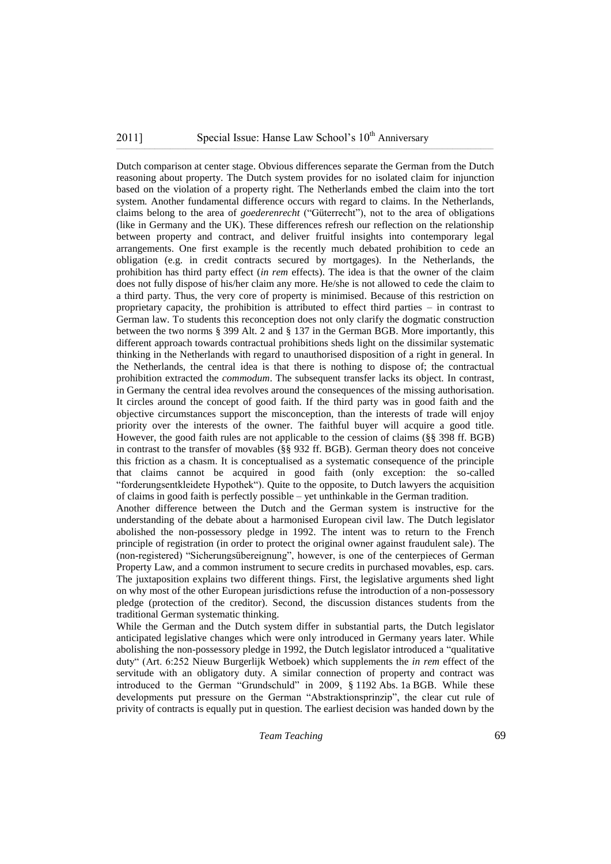### $2011$ ] Special Issue: Hanse Law School's  $10<sup>th</sup>$  Anniversary

Dutch comparison at center stage. Obvious differences separate the German from the Dutch reasoning about property. The Dutch system provides for no isolated claim for injunction based on the violation of a property right. The Netherlands embed the claim into the tort system. Another fundamental difference occurs with regard to claims. In the Netherlands, claims belong to the area of *goederenrecht* ("Güterrecht"), not to the area of obligations (like in Germany and the UK). These differences refresh our reflection on the relationship between property and contract, and deliver fruitful insights into contemporary legal arrangements. One first example is the recently much debated prohibition to cede an obligation (e.g. in credit contracts secured by mortgages). In the Netherlands, the prohibition has third party effect (*in rem* effects). The idea is that the owner of the claim does not fully dispose of his/her claim any more. He/she is not allowed to cede the claim to a third party. Thus, the very core of property is minimised. Because of this restriction on proprietary capacity, the prohibition is attributed to effect third parties – in contrast to German law. To students this reconception does not only clarify the dogmatic construction between the two norms § 399 Alt. 2 and § 137 in the German BGB. More importantly, this different approach towards contractual prohibitions sheds light on the dissimilar systematic thinking in the Netherlands with regard to unauthorised disposition of a right in general. In the Netherlands, the central idea is that there is nothing to dispose of; the contractual prohibition extracted the *commodum*. The subsequent transfer lacks its object. In contrast, in Germany the central idea revolves around the consequences of the missing authorisation. It circles around the concept of good faith. If the third party was in good faith and the objective circumstances support the misconception, than the interests of trade will enjoy priority over the interests of the owner. The faithful buyer will acquire a good title. However, the good faith rules are not applicable to the cession of claims (§§ 398 ff. BGB) in contrast to the transfer of movables (§§ 932 ff. BGB). German theory does not conceive this friction as a chasm. It is conceptualised as a systematic consequence of the principle that claims cannot be acquired in good faith (only exception: the so-called "forderungsentkleidete Hypothek"). Quite to the opposite, to Dutch lawyers the acquisition of claims in good faith is perfectly possible – yet unthinkable in the German tradition.

Another difference between the Dutch and the German system is instructive for the understanding of the debate about a harmonised European civil law. The Dutch legislator abolished the non-possessory pledge in 1992. The intent was to return to the French principle of registration (in order to protect the original owner against fraudulent sale). The (non-registered) "Sicherungsübereignung", however, is one of the centerpieces of German Property Law, and a common instrument to secure credits in purchased movables, esp. cars. The juxtaposition explains two different things. First, the legislative arguments shed light on why most of the other European jurisdictions refuse the introduction of a non-possessory pledge (protection of the creditor). Second, the discussion distances students from the traditional German systematic thinking.

While the German and the Dutch system differ in substantial parts, the Dutch legislator anticipated legislative changes which were only introduced in Germany years later. While abolishing the non-possessory pledge in 1992, the Dutch legislator introduced a "qualitative duty" (Art. 6:252 Nieuw Burgerlijk Wetboek) which supplements the *in rem* effect of the servitude with an obligatory duty. A similar connection of property and contract was introduced to the German "Grundschuld" in 2009, § 1192 Abs. 1a BGB. While these developments put pressure on the German "Abstraktionsprinzip", the clear cut rule of privity of contracts is equally put in question. The earliest decision was handed down by the

*Team Teaching* 69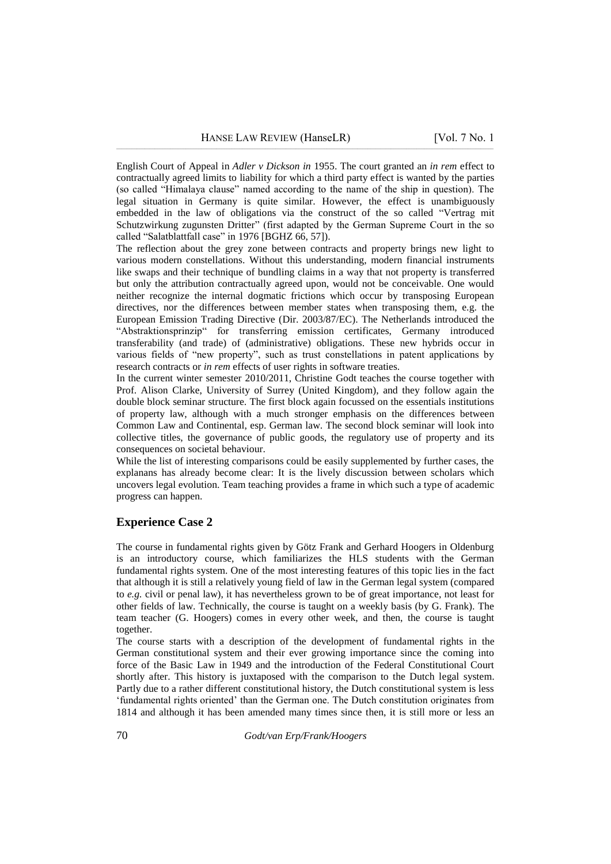[English Court of Appeal](http://en.wikipedia.org/wiki/English_Court_of_Appeal) in *Adler v Dickson in* 1955. The court granted an *in rem* effect to contractually agreed limits to liability for which a third party effect is wanted by the parties (so called "Himalaya clause" named according to the name of the ship in question). The legal situation in Germany is quite similar. However, the effect is unambiguously embedded in the law of obligations via the construct of the so called "Vertrag mit Schutzwirkung zugunsten Dritter" (first adapted by the German Supreme Court in the so called "Salatblattfall case" in 1976 [BGHZ 66, 57]).

The reflection about the grey zone between contracts and property brings new light to various modern constellations. Without this understanding, modern financial instruments like swaps and their technique of bundling claims in a way that not property is transferred but only the attribution contractually agreed upon, would not be conceivable. One would neither recognize the internal dogmatic frictions which occur by transposing European directives, nor the differences between member states when transposing them, e.g. the European Emission Trading Directive (Dir. 2003/87/EC). The Netherlands introduced the "Abstraktionsprinzip" for transferring emission certificates, Germany introduced transferability (and trade) of (administrative) obligations. These new hybrids occur in various fields of "new property", such as trust constellations in patent applications by research contracts or *in rem* effects of user rights in software treaties.

In the current winter semester 2010/2011, Christine Godt teaches the course together with Prof. Alison Clarke, University of Surrey (United Kingdom), and they follow again the double block seminar structure. The first block again focussed on the essentials institutions of property law, although with a much stronger emphasis on the differences between Common Law and Continental, esp. German law. The second block seminar will look into collective titles, the governance of public goods, the regulatory use of property and its consequences on societal behaviour.

While the list of interesting comparisons could be easily supplemented by further cases, the explanans has already become clear: It is the lively discussion between scholars which uncovers legal evolution. Team teaching provides a frame in which such a type of academic progress can happen.

## **Experience Case 2**

The course in fundamental rights given by Götz Frank and Gerhard Hoogers in Oldenburg is an introductory course, which familiarizes the HLS students with the German fundamental rights system. One of the most interesting features of this topic lies in the fact that although it is still a relatively young field of law in the German legal system (compared to *e.g.* civil or penal law), it has nevertheless grown to be of great importance, not least for other fields of law. Technically, the course is taught on a weekly basis (by G. Frank). The team teacher (G. Hoogers) comes in every other week, and then, the course is taught together.

The course starts with a description of the development of fundamental rights in the German constitutional system and their ever growing importance since the coming into force of the Basic Law in 1949 and the introduction of the Federal Constitutional Court shortly after. This history is juxtaposed with the comparison to the Dutch legal system. Partly due to a rather different constitutional history, the Dutch constitutional system is less "fundamental rights oriented" than the German one. The Dutch constitution originates from 1814 and although it has been amended many times since then, it is still more or less an

70 *Godt/van Erp/Frank/Hoogers*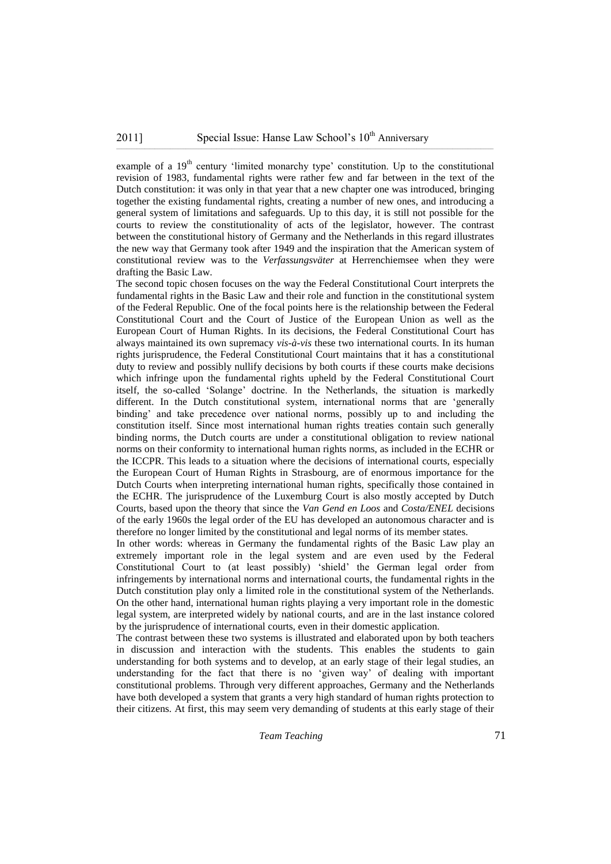example of a 19<sup>th</sup> century 'limited monarchy type' constitution. Up to the constitutional revision of 1983, fundamental rights were rather few and far between in the text of the Dutch constitution: it was only in that year that a new chapter one was introduced, bringing together the existing fundamental rights, creating a number of new ones, and introducing a general system of limitations and safeguards. Up to this day, it is still not possible for the courts to review the constitutionality of acts of the legislator, however. The contrast between the constitutional history of Germany and the Netherlands in this regard illustrates the new way that Germany took after 1949 and the inspiration that the American system of constitutional review was to the *Verfassungsväter* at Herrenchiemsee when they were drafting the Basic Law.

The second topic chosen focuses on the way the Federal Constitutional Court interprets the fundamental rights in the Basic Law and their role and function in the constitutional system of the Federal Republic. One of the focal points here is the relationship between the Federal Constitutional Court and the Court of Justice of the European Union as well as the European Court of Human Rights. In its decisions, the Federal Constitutional Court has always maintained its own supremacy *vis-à-vis* these two international courts. In its human rights jurisprudence, the Federal Constitutional Court maintains that it has a constitutional duty to review and possibly nullify decisions by both courts if these courts make decisions which infringe upon the fundamental rights upheld by the Federal Constitutional Court itself, the so-called "Solange" doctrine. In the Netherlands, the situation is markedly different. In the Dutch constitutional system, international norms that are "generally binding" and take precedence over national norms, possibly up to and including the constitution itself. Since most international human rights treaties contain such generally binding norms, the Dutch courts are under a constitutional obligation to review national norms on their conformity to international human rights norms, as included in the ECHR or the ICCPR. This leads to a situation where the decisions of international courts, especially the European Court of Human Rights in Strasbourg, are of enormous importance for the Dutch Courts when interpreting international human rights, specifically those contained in the ECHR. The jurisprudence of the Luxemburg Court is also mostly accepted by Dutch Courts, based upon the theory that since the *Van Gend en Loos* and *Costa/ENEL* decisions of the early 1960s the legal order of the EU has developed an autonomous character and is therefore no longer limited by the constitutional and legal norms of its member states.

In other words: whereas in Germany the fundamental rights of the Basic Law play an extremely important role in the legal system and are even used by the Federal Constitutional Court to (at least possibly) "shield" the German legal order from infringements by international norms and international courts, the fundamental rights in the Dutch constitution play only a limited role in the constitutional system of the Netherlands. On the other hand, international human rights playing a very important role in the domestic legal system, are interpreted widely by national courts, and are in the last instance colored by the jurisprudence of international courts, even in their domestic application.

The contrast between these two systems is illustrated and elaborated upon by both teachers in discussion and interaction with the students. This enables the students to gain understanding for both systems and to develop, at an early stage of their legal studies, an understanding for the fact that there is no "given way" of dealing with important constitutional problems. Through very different approaches, Germany and the Netherlands have both developed a system that grants a very high standard of human rights protection to their citizens. At first, this may seem very demanding of students at this early stage of their

*Team Teaching* 71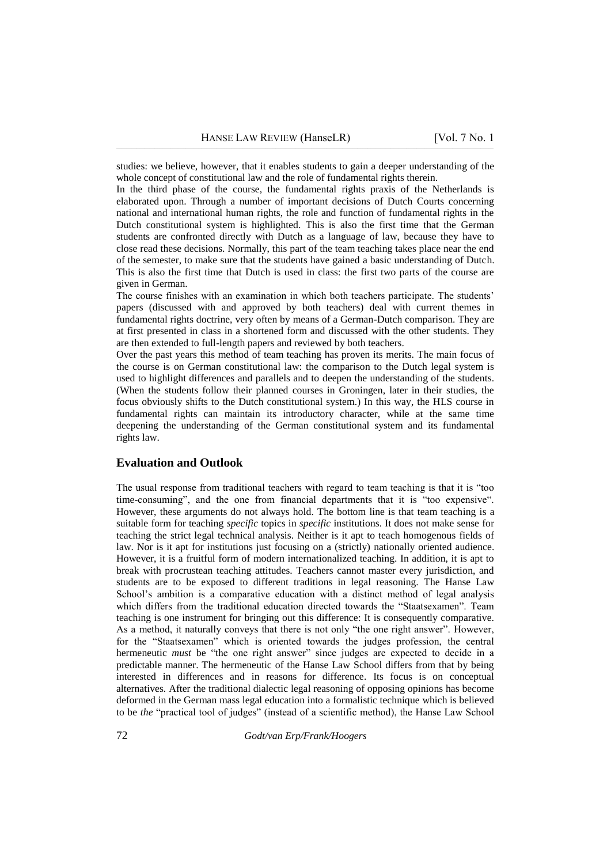studies: we believe, however, that it enables students to gain a deeper understanding of the whole concept of constitutional law and the role of fundamental rights therein.

In the third phase of the course, the fundamental rights praxis of the Netherlands is elaborated upon. Through a number of important decisions of Dutch Courts concerning national and international human rights, the role and function of fundamental rights in the Dutch constitutional system is highlighted. This is also the first time that the German students are confronted directly with Dutch as a language of law, because they have to close read these decisions. Normally, this part of the team teaching takes place near the end of the semester, to make sure that the students have gained a basic understanding of Dutch. This is also the first time that Dutch is used in class: the first two parts of the course are given in German.

The course finishes with an examination in which both teachers participate. The students" papers (discussed with and approved by both teachers) deal with current themes in fundamental rights doctrine, very often by means of a German-Dutch comparison. They are at first presented in class in a shortened form and discussed with the other students. They are then extended to full-length papers and reviewed by both teachers.

Over the past years this method of team teaching has proven its merits. The main focus of the course is on German constitutional law: the comparison to the Dutch legal system is used to highlight differences and parallels and to deepen the understanding of the students. (When the students follow their planned courses in Groningen, later in their studies, the focus obviously shifts to the Dutch constitutional system.) In this way, the HLS course in fundamental rights can maintain its introductory character, while at the same time deepening the understanding of the German constitutional system and its fundamental rights law.

#### **Evaluation and Outlook**

The usual response from traditional teachers with regard to team teaching is that it is "too time-consuming", and the one from financial departments that it is "too expensive". However, these arguments do not always hold. The bottom line is that team teaching is a suitable form for teaching *specific* topics in *specific* institutions. It does not make sense for teaching the strict legal technical analysis. Neither is it apt to teach homogenous fields of law. Nor is it apt for institutions just focusing on a (strictly) nationally oriented audience. However, it is a fruitful form of modern internationalized teaching. In addition, it is apt to break with procrustean teaching attitudes. Teachers cannot master every jurisdiction, and students are to be exposed to different traditions in legal reasoning. The Hanse Law School's ambition is a comparative education with a distinct method of legal analysis which differs from the traditional education directed towards the "Staatsexamen". Team teaching is one instrument for bringing out this difference: It is consequently comparative. As a method, it naturally conveys that there is not only "the one right answer". However, for the "Staatsexamen" which is oriented towards the judges profession, the central hermeneutic *must* be "the one right answer" since judges are expected to decide in a predictable manner. The hermeneutic of the Hanse Law School differs from that by being interested in differences and in reasons for difference. Its focus is on conceptual alternatives. After the traditional dialectic legal reasoning of opposing opinions has become deformed in the German mass legal education into a formalistic technique which is believed to be *the* "practical tool of judges" (instead of a scientific method), the Hanse Law School

72 *Godt/van Erp/Frank/Hoogers*